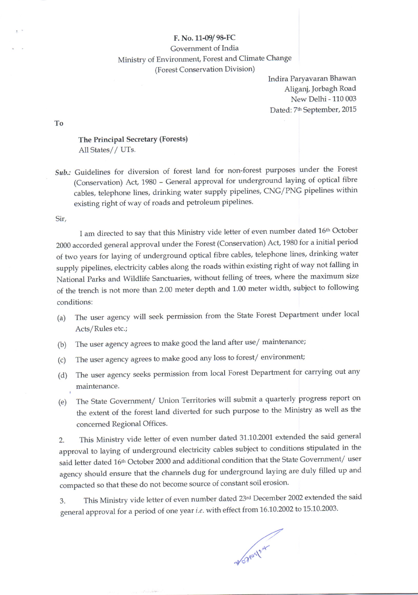## F. No. 11-09/9&FC Government of India Ministry of Environment, Forest and Climate Change (Forest Conservation Division)

Indira Paryavaran Bhawan Aligani, lorbagh Road New Delhi - 110 003 Dated: 7<sup>th</sup> September, 2015

To

## The Principal Secretary (Forests) All States// UTs.

Sub.: Guidelines for diversion of forest land for non-forest purposes under the Forest (Conservation) Act, 1980 - General approval for underground laying of optical fibre cables, telephone lines, drinking water supply pipelines, CNG/PNG pipelines within existing right of way of roads and petroleum pipelines.

Sir.

I am directed to say that this Ministry vide letter of even number dated 16th October <sup>2000</sup>accorded general approval under the Forest (Conservation) Act, 1980 for a initial period of two years for laying of underground optical fibre cables, telephone lines, drinking water supply pipelines, electricity cables along the roads within existing right of way not falling in National Parks and Wildlife Sanctuaries, without felling of trees, where the maximum size of the trench is not more than 2.00 meter depth and 1.00 meter width, subject to following conditions:

- (a) The user agency will seek permission from the State Forest Department under local Acts/Rules etc.;
- (b) The user agency agrees to make good the land after use/ maintenance;
- (c) The user agency agrees to make good any loss to forest/ environment;
- (d) The user agency seeks permission from local Forest Department for carrying out any maintenance.
- (e) The State Government/ Union Territories will submit a quarterly progress report on the extent of the forest land diverted for such purpose to the Ministry as well as the concerned Regional Offices.

2. This Ministry vide letter of even number dated 31.10.2001 extended the said general approval to laying of underground electricity cables subject to conditions stipulated in the said letter dated 16<sup>th</sup> October 2000 and additional condition that the State Government/ user agency should ensure that the channels dug for underground laying are duly filled up and compacted so that these do not become source of constant soil erosion.

3. This Ministry vide letter of even number dated 23rd December 2002 extended the said general approval for a period of one year i.e. with effect from 16.10.2002 to 15.10.2003.

World Mark